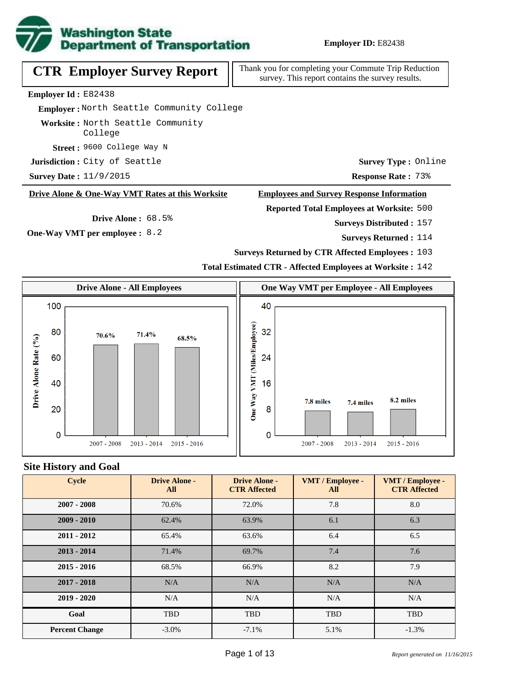

# **CTR Employer Survey Report**

Thank you for completing your Commute Trip Reduction survey. This report contains the survey results.

**Employer Id :** E82438

 **Employer :** North Seattle Community College

**Worksite :** North Seattle Community College

9600 College Way N **Street :**

**Jurisdiction:** City of Seattle

**Response Rate :** 11/9/2015 73% **Survey Date :**

#### **Drive Alone & One-Way VMT Rates at this Worksite**

**Drive Alone :** 68.5%

**One-Way VMT per employee :** 8.2

**Employees and Survey Response Information**

**Reported Total Employees at Worksite:** 500

Surveys Distributed : 157

**Survey Type :** Online

**Surveys Returned :** 114

**Surveys Returned by CTR Affected Employees :** 103

**Total Estimated CTR - Affected Employees at Worksite :** 142



#### **Site History and Goal**

| <b>Cycle</b>          | <b>Drive Alone -</b><br>All | <b>Drive Alone -</b><br><b>CTR Affected</b> | VMT / Employee -<br>All | VMT / Employee -<br><b>CTR Affected</b> |
|-----------------------|-----------------------------|---------------------------------------------|-------------------------|-----------------------------------------|
| $2007 - 2008$         | 70.6%                       | 72.0%                                       | 7.8                     | 8.0                                     |
| $2009 - 2010$         | 62.4%                       | 63.9%                                       | 6.1                     | 6.3                                     |
| $2011 - 2012$         | 65.4%                       | 63.6%                                       | 6.4                     | 6.5                                     |
| $2013 - 2014$         | 71.4%                       | 69.7%                                       | 7.4                     | 7.6                                     |
| $2015 - 2016$         | 68.5%                       | 66.9%                                       | 8.2                     | 7.9                                     |
| $2017 - 2018$         | N/A                         | N/A                                         | N/A                     | N/A                                     |
| $2019 - 2020$         | N/A                         | N/A                                         | N/A                     | N/A                                     |
| Goal                  | <b>TBD</b>                  | <b>TBD</b>                                  | <b>TBD</b>              | <b>TBD</b>                              |
| <b>Percent Change</b> | $-3.0\%$                    | $-7.1\%$                                    | 5.1%                    | $-1.3%$                                 |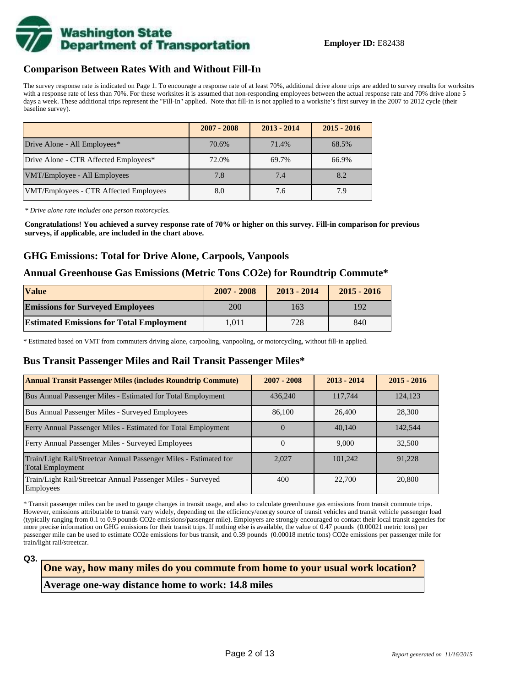

#### **Comparison Between Rates With and Without Fill-In**

The survey response rate is indicated on Page 1. To encourage a response rate of at least 70%, additional drive alone trips are added to survey results for worksites with a response rate of less than 70%. For these worksites it is assumed that non-responding employees between the actual response rate and 70% drive alone 5 days a week. These additional trips represent the "Fill-In" applied. Note that fill-in is not applied to a worksite's first survey in the 2007 to 2012 cycle (their baseline survey).

|                                        | $2007 - 2008$ | $2013 - 2014$ | $2015 - 2016$ |
|----------------------------------------|---------------|---------------|---------------|
| Drive Alone - All Employees*           | 70.6%         | 71.4%         | 68.5%         |
| Drive Alone - CTR Affected Employees*  | 72.0%         | 69.7%         | 66.9%         |
| VMT/Employee - All Employees           | 7.8           | 7.4           | 8.2           |
| VMT/Employees - CTR Affected Employees | 8.0           | 7.6           | 7.9           |

*\* Drive alone rate includes one person motorcycles.*

**Congratulations! You achieved a survey response rate of 70% or higher on this survey. Fill-in comparison for previous surveys, if applicable, are included in the chart above.**

#### **GHG Emissions: Total for Drive Alone, Carpools, Vanpools**

#### **Annual Greenhouse Gas Emissions (Metric Tons CO2e) for Roundtrip Commute\***

| <b>Value</b>                                    | $2007 - 2008$ | $2013 - 2014$ | $2015 - 2016$ |
|-------------------------------------------------|---------------|---------------|---------------|
| <b>Emissions for Surveyed Employees</b>         | <b>200</b>    | 163           | 192           |
| <b>Estimated Emissions for Total Employment</b> | 1.011         | 728           | 840           |

\* Estimated based on VMT from commuters driving alone, carpooling, vanpooling, or motorcycling, without fill-in applied.

#### **Bus Transit Passenger Miles and Rail Transit Passenger Miles\***

| <b>Annual Transit Passenger Miles (includes Roundtrip Commute)</b>                           | $2007 - 2008$    | $2013 - 2014$ | $2015 - 2016$ |
|----------------------------------------------------------------------------------------------|------------------|---------------|---------------|
| Bus Annual Passenger Miles - Estimated for Total Employment                                  | 436,240          | 117,744       | 124,123       |
| Bus Annual Passenger Miles - Surveyed Employees                                              | 86,100           | 26,400        | 28,300        |
| Ferry Annual Passenger Miles - Estimated for Total Employment                                | $\left( \right)$ | 40,140        | 142,544       |
| Ferry Annual Passenger Miles - Surveyed Employees                                            |                  | 9.000         | 32,500        |
| Train/Light Rail/Streetcar Annual Passenger Miles - Estimated for<br><b>Total Employment</b> | 2.027            | 101,242       | 91,228        |
| Train/Light Rail/Streetcar Annual Passenger Miles - Surveyed<br>Employees                    | 400              | 22,700        | 20,800        |

\* Transit passenger miles can be used to gauge changes in transit usage, and also to calculate greenhouse gas emissions from transit commute trips. However, emissions attributable to transit vary widely, depending on the efficiency/energy source of transit vehicles and transit vehicle passenger load (typically ranging from 0.1 to 0.9 pounds CO2e emissions/passenger mile). Employers are strongly encouraged to contact their local transit agencies for more precise information on GHG emissions for their transit trips. If nothing else is available, the value of 0.47 pounds (0.00021 metric tons) per passenger mile can be used to estimate CO2e emissions for bus transit, and 0.39 pounds (0.00018 metric tons) CO2e emissions per passenger mile for train/light rail/streetcar.

**Q3.**

# **Average one-way distance home to work: 14.8 miles One way, how many miles do you commute from home to your usual work location?**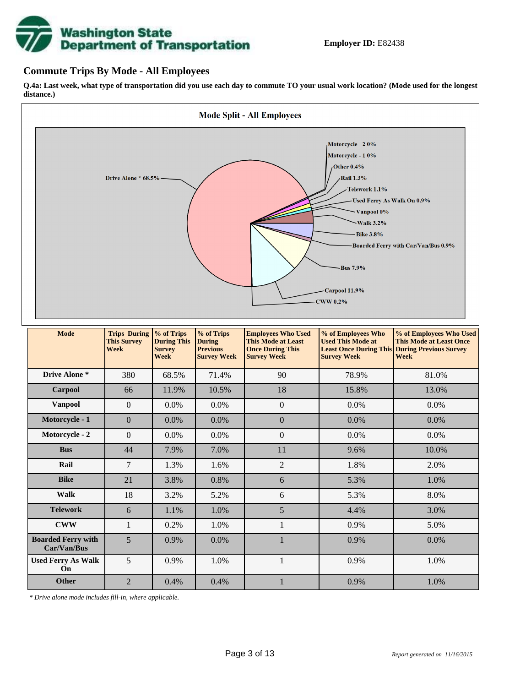

### **Commute Trips By Mode - All Employees**

**Q.4a: Last week, what type of transportation did you use each day to commute TO your usual work location? (Mode used for the longest distance.)**



| <b>Mode</b>                              | <b>Trips During</b><br><b>This Survey</b><br><b>Week</b> | % of Trips<br><b>During This</b><br><b>Survey</b><br><b>Week</b> | % of Trips<br><b>During</b><br><b>Previous</b><br><b>Survey Week</b> | <b>Employees Who Used</b><br><b>This Mode at Least</b><br><b>Once During This</b><br><b>Survey Week</b> | % of Employees Who<br><b>Used This Mode at</b><br><b>Survey Week</b> | % of Employees Who Used<br><b>This Mode at Least Once</b><br><b>Least Once During This During Previous Survey</b><br>Week |
|------------------------------------------|----------------------------------------------------------|------------------------------------------------------------------|----------------------------------------------------------------------|---------------------------------------------------------------------------------------------------------|----------------------------------------------------------------------|---------------------------------------------------------------------------------------------------------------------------|
| Drive Alone *                            | 380                                                      | 68.5%                                                            | 71.4%                                                                | 90                                                                                                      | 78.9%                                                                | 81.0%                                                                                                                     |
| Carpool                                  | 66                                                       | 11.9%                                                            | 10.5%                                                                | 18                                                                                                      | 15.8%                                                                | 13.0%                                                                                                                     |
| Vanpool                                  | $\Omega$                                                 | 0.0%                                                             | 0.0%                                                                 | $\overline{0}$                                                                                          | 0.0%                                                                 | $0.0\%$                                                                                                                   |
| Motorcycle - 1                           | $\Omega$                                                 | 0.0%                                                             | 0.0%                                                                 | $\boldsymbol{0}$                                                                                        | 0.0%                                                                 | 0.0%                                                                                                                      |
| Motorcycle - 2                           | $\Omega$                                                 | 0.0%                                                             | $0.0\%$                                                              | $\boldsymbol{0}$                                                                                        | 0.0%                                                                 | 0.0%                                                                                                                      |
| <b>Bus</b>                               | 44                                                       | 7.9%                                                             | 7.0%                                                                 | 11                                                                                                      | 9.6%                                                                 | 10.0%                                                                                                                     |
| Rail                                     | 7                                                        | 1.3%                                                             | 1.6%                                                                 | $\overline{2}$                                                                                          | 1.8%                                                                 | 2.0%                                                                                                                      |
| <b>Bike</b>                              | 21                                                       | 3.8%                                                             | 0.8%                                                                 | 6                                                                                                       | 5.3%                                                                 | 1.0%                                                                                                                      |
| <b>Walk</b>                              | 18                                                       | 3.2%                                                             | 5.2%                                                                 | 6                                                                                                       | 5.3%                                                                 | 8.0%                                                                                                                      |
| <b>Telework</b>                          | 6                                                        | 1.1%                                                             | 1.0%                                                                 | 5                                                                                                       | 4.4%                                                                 | 3.0%                                                                                                                      |
| <b>CWW</b>                               |                                                          | 0.2%                                                             | 1.0%                                                                 |                                                                                                         | 0.9%                                                                 | 5.0%                                                                                                                      |
| <b>Boarded Ferry with</b><br>Car/Van/Bus | 5                                                        | 0.9%                                                             | 0.0%                                                                 |                                                                                                         | 0.9%                                                                 | 0.0%                                                                                                                      |
| <b>Used Ferry As Walk</b><br>On          | 5                                                        | 0.9%                                                             | 1.0%                                                                 |                                                                                                         | 0.9%                                                                 | 1.0%                                                                                                                      |
| <b>Other</b>                             | $\overline{2}$                                           | 0.4%                                                             | 0.4%                                                                 |                                                                                                         | 0.9%                                                                 | 1.0%                                                                                                                      |

*\* Drive alone mode includes fill-in, where applicable.*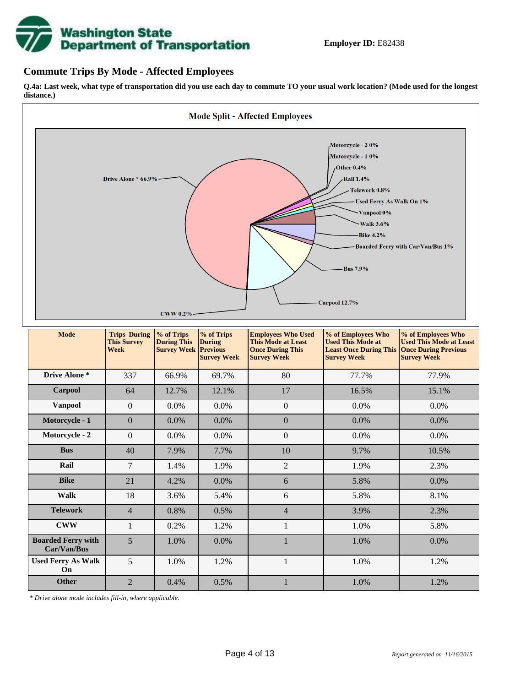

### **Commute Trips By Mode - Affected Employees**

**Q.4a: Last week, what type of transportation did you use each day to commute TO your usual work location? (Mode used for the longest distance.)**



*\* Drive alone mode includes fill-in, where applicable.*

**Other** 2 0.4% 0.5% 1 1.0% 1.2%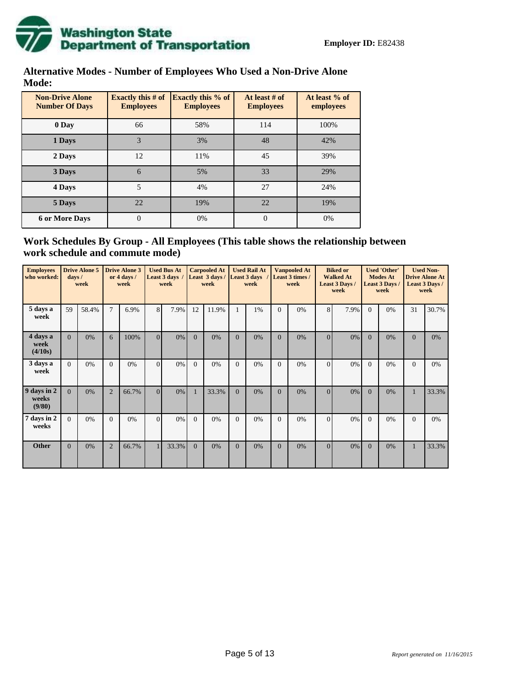

## **Alternative Modes - Number of Employees Who Used a Non-Drive Alone Mode:**

| <b>Non-Drive Alone</b><br><b>Number Of Days</b> | <b>Exactly this # of</b><br><b>Employees</b> | <b>Exactly this % of</b><br><b>Employees</b> | At least # of<br><b>Employees</b> | At least % of<br>employees |
|-------------------------------------------------|----------------------------------------------|----------------------------------------------|-----------------------------------|----------------------------|
| 0 Day                                           | 66                                           | 58%                                          | 114                               | 100%                       |
| 1 Days                                          | 3                                            | 3%                                           | 48                                | 42%                        |
| 2 Days                                          | 12                                           | 11%                                          | 45                                | 39%                        |
| 3 Days                                          | 6                                            | 5%                                           | 33                                | 29%                        |
| 4 Days                                          | 5                                            | 4%                                           | 27                                | 24%                        |
| 5 Days                                          | 22                                           | 19%                                          | 22                                | 19%                        |
| <b>6 or More Days</b>                           | $\overline{0}$                               | 0%                                           | $\overline{0}$                    | 0%                         |

## **Work Schedules By Group - All Employees (This table shows the relationship between work schedule and commute mode)**

| <b>Employees</b><br>who worked: | $d$ ays /      | <b>Drive Alone 5</b><br>week |                | <b>Drive Alone 3</b><br>or 4 days /<br>week |          | <b>Used Bus At</b><br>Least 3 days<br>week |                | <b>Carpooled At</b><br>Least 3 days /<br>week |              | <b>Used Rail At</b><br>Least 3 days<br>week |          | <b>Vanpooled At</b><br>Least 3 times /<br>week |                | <b>Biked or</b><br><b>Walked At</b><br>Least 3 Days /<br>week |          | <b>Used 'Other'</b><br><b>Modes At</b><br>Least 3 Days /<br>week |              | <b>Used Non-</b><br><b>Drive Alone At</b><br>Least 3 Days /<br>week |
|---------------------------------|----------------|------------------------------|----------------|---------------------------------------------|----------|--------------------------------------------|----------------|-----------------------------------------------|--------------|---------------------------------------------|----------|------------------------------------------------|----------------|---------------------------------------------------------------|----------|------------------------------------------------------------------|--------------|---------------------------------------------------------------------|
| 5 days a<br>week                | 59             | 58.4%                        | $\tau$         | 6.9%                                        | 8        | 7.9%                                       | 12             | 11.9%                                         |              | 1%                                          | $\Omega$ | 0%                                             | 8              | 7.9%                                                          | $\Omega$ | 0%                                                               | 31           | 30.7%                                                               |
| 4 days a<br>week<br>(4/10s)     | $\overline{0}$ | 0%                           | 6              | 100%                                        | $\Omega$ | $0\%$                                      | $\Omega$       | 0%                                            | $\mathbf{0}$ | 0%                                          | $\Omega$ | 0%                                             | $\Omega$       | 0%                                                            | $\Omega$ | 0%                                                               | $\Omega$     | 0%                                                                  |
| 3 days a<br>week                | $\overline{0}$ | 0%                           | $\Omega$       | 0%                                          | $\Omega$ | $0\%$                                      | $\overline{0}$ | 0%                                            | $\mathbf{0}$ | 0%                                          | $\Omega$ | 0%                                             | $\overline{0}$ | 0%                                                            | $\Omega$ | 0%                                                               | $\Omega$     | 0%                                                                  |
| 9 days in 2<br>weeks<br>(9/80)  | $\Omega$       | 0%                           | $\overline{2}$ | 66.7%                                       | $\Omega$ | $0\%$                                      | 1              | 33.3%                                         | $\Omega$     | 0%                                          | $\Omega$ | 0%                                             | $\Omega$       | 0%                                                            | $\Omega$ | 0%                                                               | $\mathbf{1}$ | 33.3%                                                               |
| days in 2<br>7<br>weeks         | $\overline{0}$ | 0%                           | $\Omega$       | 0%                                          | $\Omega$ | $0\%$                                      | $\Omega$       | 0%                                            | $\Omega$     | 0%                                          | $\Omega$ | 0%                                             | $\Omega$       | 0%                                                            | $\Omega$ | 0%                                                               | $\Omega$     | 0%                                                                  |
| <b>Other</b>                    | $\overline{0}$ | 0%                           | $\overline{2}$ | 66.7%                                       |          | 33.3%                                      | $\overline{0}$ | 0%                                            | $\mathbf{0}$ | 0%                                          | $\Omega$ | 0%                                             | $\overline{0}$ | $0\%$                                                         | $\Omega$ | 0%                                                               | $\mathbf{1}$ | 33.3%                                                               |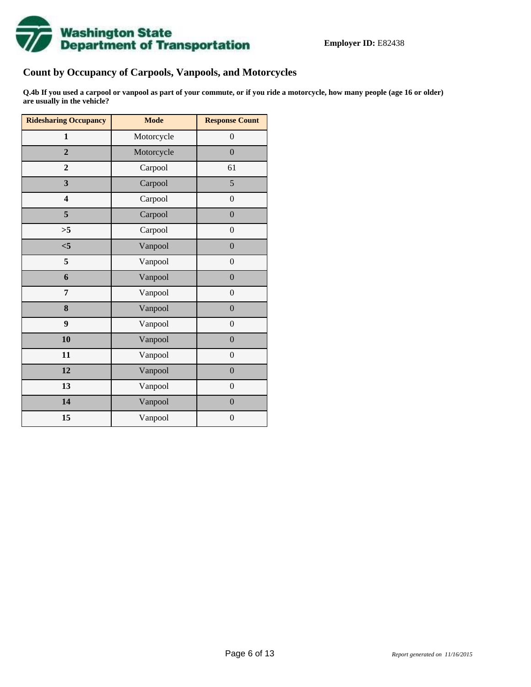

## **Count by Occupancy of Carpools, Vanpools, and Motorcycles**

**Q.4b If you used a carpool or vanpool as part of your commute, or if you ride a motorcycle, how many people (age 16 or older) are usually in the vehicle?**

| <b>Ridesharing Occupancy</b> | <b>Mode</b> | <b>Response Count</b> |
|------------------------------|-------------|-----------------------|
| $\mathbf{1}$                 | Motorcycle  | $\boldsymbol{0}$      |
| $\overline{2}$               | Motorcycle  | $\mathbf{0}$          |
| $\mathbf{2}$                 | Carpool     | 61                    |
| $\overline{\mathbf{3}}$      | Carpool     | 5                     |
| $\overline{\mathbf{4}}$      | Carpool     | $\boldsymbol{0}$      |
| 5                            | Carpool     | $\boldsymbol{0}$      |
| >5                           | Carpool     | $\overline{0}$        |
| $\leq 5$                     | Vanpool     | $\mathbf{0}$          |
| 5                            | Vanpool     | $\boldsymbol{0}$      |
| 6                            | Vanpool     | $\overline{0}$        |
| 7                            | Vanpool     | $\overline{0}$        |
| 8                            | Vanpool     | $\boldsymbol{0}$      |
| 9                            | Vanpool     | $\boldsymbol{0}$      |
| 10                           | Vanpool     | $\mathbf{0}$          |
| 11                           | Vanpool     | $\boldsymbol{0}$      |
| 12                           | Vanpool     | $\overline{0}$        |
| 13                           | Vanpool     | $\boldsymbol{0}$      |
| 14                           | Vanpool     | $\overline{0}$        |
| 15                           | Vanpool     | $\overline{0}$        |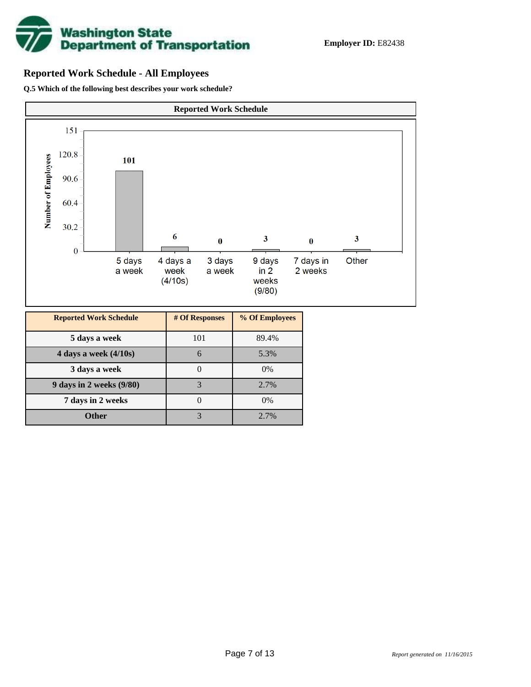

## **Reported Work Schedule - All Employees**

**Q.5 Which of the following best describes your work schedule?**



| <b>Reported Work Schedule</b> | # Of Responses | % Of Employees |
|-------------------------------|----------------|----------------|
| 5 days a week                 | 101            | 89.4%          |
| 4 days a week $(4/10s)$       | 6              | 5.3%           |
| 3 days a week                 |                | 0%             |
| 9 days in 2 weeks (9/80)      | 3              | 2.7%           |
| 7 days in 2 weeks             |                | 0%             |
| <b>Other</b>                  |                | 2.7%           |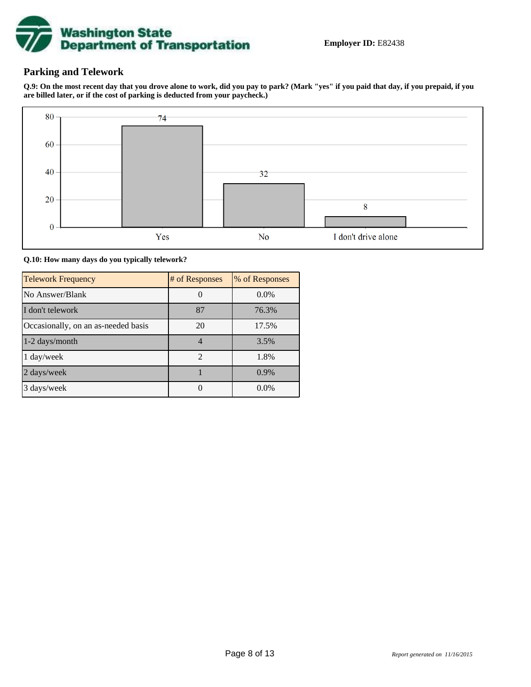

## **Parking and Telework**

**Q.9: On the most recent day that you drove alone to work, did you pay to park? (Mark "yes" if you paid that day, if you prepaid, if you are billed later, or if the cost of parking is deducted from your paycheck.)**



#### **Q.10: How many days do you typically telework?**

| <b>Telework Frequency</b>           | # of Responses              | % of Responses |
|-------------------------------------|-----------------------------|----------------|
| No Answer/Blank                     |                             | $0.0\%$        |
| I don't telework                    | 87                          | 76.3%          |
| Occasionally, on an as-needed basis | 20                          | 17.5%          |
| $1-2$ days/month                    |                             | 3.5%           |
| $1 \text{ day/week}$                | $\mathcal{D}_{\mathcal{L}}$ | 1.8%           |
| 2 days/week                         |                             | 0.9%           |
| 3 days/week                         |                             | $0.0\%$        |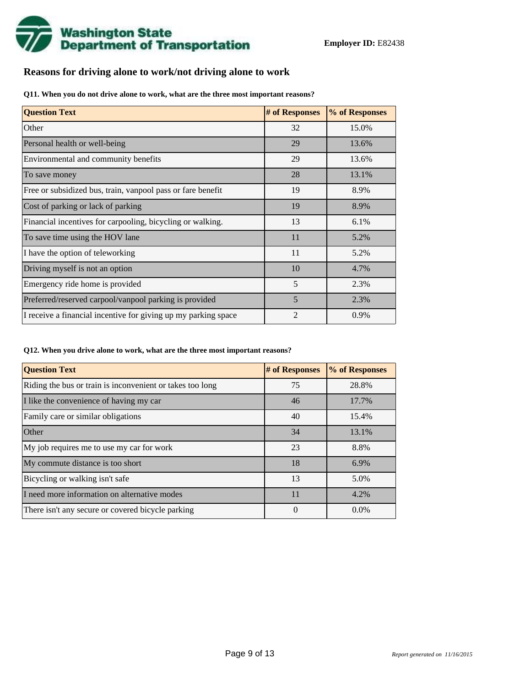

## **Reasons for driving alone to work/not driving alone to work**

**Q11. When you do not drive alone to work, what are the three most important reasons?**

| <b>Question Text</b>                                           | # of Responses | % of Responses |
|----------------------------------------------------------------|----------------|----------------|
| Other                                                          | 32             | 15.0%          |
| Personal health or well-being                                  | 29             | 13.6%          |
| Environmental and community benefits                           | 29             | 13.6%          |
| To save money                                                  | 28             | 13.1%          |
| Free or subsidized bus, train, vanpool pass or fare benefit    | 19             | 8.9%           |
| Cost of parking or lack of parking                             | 19             | 8.9%           |
| Financial incentives for carpooling, bicycling or walking.     | 13             | 6.1%           |
| To save time using the HOV lane                                | 11             | 5.2%           |
| I have the option of teleworking                               | 11             | 5.2%           |
| Driving myself is not an option                                | 10             | 4.7%           |
| Emergency ride home is provided                                | 5              | 2.3%           |
| Preferred/reserved carpool/vanpool parking is provided         | 5              | 2.3%           |
| I receive a financial incentive for giving up my parking space | $\overline{2}$ | 0.9%           |

**Q12. When you drive alone to work, what are the three most important reasons?**

| <b>Question Text</b>                                      | # of Responses | % of Responses |
|-----------------------------------------------------------|----------------|----------------|
| Riding the bus or train is inconvenient or takes too long | 75             | 28.8%          |
| I like the convenience of having my car                   | 46             | 17.7%          |
| Family care or similar obligations                        | 40             | 15.4%          |
| <b>Other</b>                                              | 34             | 13.1%          |
| My job requires me to use my car for work                 | 23             | 8.8%           |
| My commute distance is too short                          | 18             | 6.9%           |
| Bicycling or walking isn't safe                           | 13             | 5.0%           |
| I need more information on alternative modes              | 11             | 4.2%           |
| There isn't any secure or covered bicycle parking         | 0              | $0.0\%$        |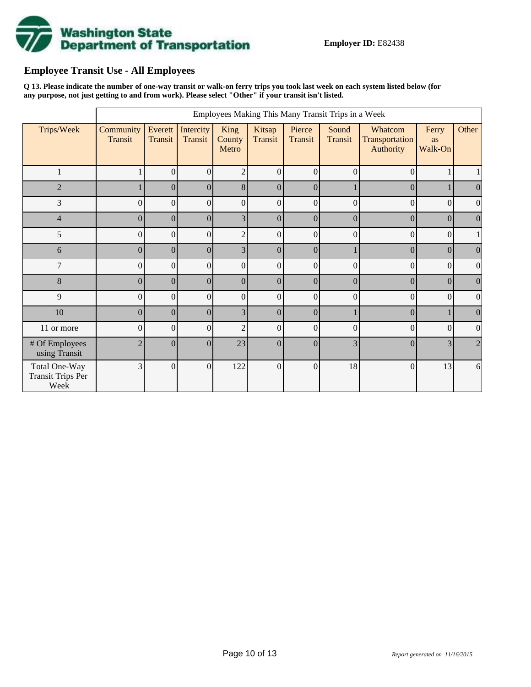

## **Employee Transit Use - All Employees**

**Q 13. Please indicate the number of one-way transit or walk-on ferry trips you took last week on each system listed below (for any purpose, not just getting to and from work). Please select "Other" if your transit isn't listed.**

|                                                   | Employees Making This Many Transit Trips in a Week |                           |                      |                         |                   |                   |                  |                                        |                        |                  |  |  |  |
|---------------------------------------------------|----------------------------------------------------|---------------------------|----------------------|-------------------------|-------------------|-------------------|------------------|----------------------------------------|------------------------|------------------|--|--|--|
| Trips/Week                                        | Community<br><b>Transit</b>                        | Everett<br><b>Transit</b> | Intercity<br>Transit | King<br>County<br>Metro | Kitsap<br>Transit | Pierce<br>Transit | Sound<br>Transit | Whatcom<br>Transportation<br>Authority | Ferry<br>as<br>Walk-On | Other            |  |  |  |
| 1                                                 |                                                    | $\mathbf{0}$              | $\boldsymbol{0}$     | $\overline{2}$          | $\vert 0 \vert$   | $\theta$          | 0                | $\theta$                               |                        | 1                |  |  |  |
| $\overline{2}$                                    |                                                    | $\theta$                  | $\overline{0}$       | 8 <sup>1</sup>          | $\Omega$          | $\theta$          |                  | $\overline{0}$                         |                        | $\boldsymbol{0}$ |  |  |  |
| 3                                                 | 0                                                  | $\boldsymbol{0}$          | $\overline{0}$       | $\Omega$                | $\Omega$          | $\Omega$          | $\theta$         | $\theta$                               | $\Omega$               | $\overline{0}$   |  |  |  |
| $\overline{4}$                                    | $\theta$                                           | $\overline{0}$            | $\vert 0 \vert$      | 3                       | $\theta$          | $\theta$          | $\overline{0}$   | $\overline{0}$                         | $\theta$               | $\theta$         |  |  |  |
| 5                                                 | 0                                                  | $\mathbf{0}$              | $\overline{0}$       | $\overline{2}$          | $\Omega$          | $\Omega$          | $\overline{0}$   | $\theta$                               | $\Omega$               |                  |  |  |  |
| 6                                                 | $\Omega$                                           | $\boldsymbol{0}$          | $\vert 0 \vert$      | 3 <sup>1</sup>          | $\Omega$          | $\Omega$          |                  | $\Omega$                               | $\Omega$               | $\boldsymbol{0}$ |  |  |  |
| $\overline{7}$                                    | 0                                                  | $\mathbf{0}$              | $\overline{0}$       | $\Omega$                | $\Omega$          | $\theta$          | $\overline{0}$   | $\Omega$                               | $\Omega$               | $\boldsymbol{0}$ |  |  |  |
| 8                                                 | $\overline{0}$                                     | $\mathbf{0}$              | $\vert 0 \vert$      | $\vert 0 \vert$         | $\overline{0}$    | $\overline{0}$    | $\overline{0}$   | $\overline{0}$                         | $\Omega$               | $\mathbf{0}$     |  |  |  |
| 9                                                 | 0                                                  | $\boldsymbol{0}$          | $\overline{0}$       | $\overline{0}$          | $\vert 0 \vert$   | $\Omega$          | 0                | $\theta$                               | $\vert 0 \vert$        | $\boldsymbol{0}$ |  |  |  |
| $10\,$                                            | $\overline{0}$                                     | $\boldsymbol{0}$          | $\vert 0 \vert$      | $\overline{3}$          | 0                 | $\overline{0}$    |                  | $\overline{0}$                         |                        | $\mathbf{0}$     |  |  |  |
| 11 or more                                        | 0                                                  | $\boldsymbol{0}$          | $\overline{0}$       | $\overline{2}$          | $\vert 0 \vert$   | $\overline{0}$    | 0                | $\overline{0}$                         | $\boldsymbol{0}$       | $\boldsymbol{0}$ |  |  |  |
| # Of Employees<br>using Transit                   | $\overline{2}$                                     | $\mathbf{0}$              | $\overline{0}$       | 23                      | $\Omega$          | $\theta$          | 3                | $\Omega$                               | 3                      | $\overline{2}$   |  |  |  |
| Total One-Way<br><b>Transit Trips Per</b><br>Week | 3                                                  | $\boldsymbol{0}$          | $\boldsymbol{0}$     | 122                     | $\overline{0}$    | $\overline{0}$    | 18               | $\mathbf{0}$                           | 13                     | 6                |  |  |  |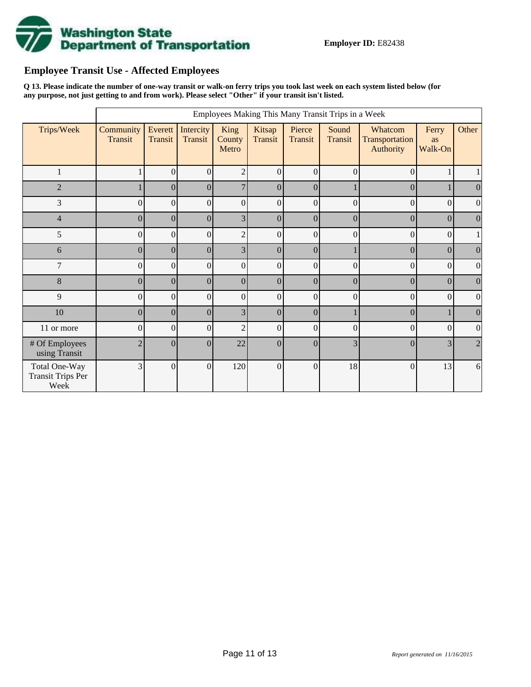

## **Employee Transit Use - Affected Employees**

**Q 13. Please indicate the number of one-way transit or walk-on ferry trips you took last week on each system listed below (for any purpose, not just getting to and from work). Please select "Other" if your transit isn't listed.**

|                                                   | Employees Making This Many Transit Trips in a Week |                    |                      |                         |                   |                          |                         |                                        |                        |                  |  |  |  |
|---------------------------------------------------|----------------------------------------------------|--------------------|----------------------|-------------------------|-------------------|--------------------------|-------------------------|----------------------------------------|------------------------|------------------|--|--|--|
| Trips/Week                                        | Community<br>Transit                               | Everett<br>Transit | Intercity<br>Transit | King<br>County<br>Metro | Kitsap<br>Transit | Pierce<br><b>Transit</b> | Sound<br><b>Transit</b> | Whatcom<br>Transportation<br>Authority | Ferry<br>as<br>Walk-On | Other            |  |  |  |
| 1                                                 |                                                    | $\overline{0}$     | $\boldsymbol{0}$     | $\overline{2}$          | $\vert 0 \vert$   | $\Omega$                 | $\overline{0}$          | $\Omega$                               |                        | $\mathbf{1}$     |  |  |  |
| $\overline{2}$                                    |                                                    | $\Omega$           | $\boldsymbol{0}$     | $\overline{7}$          | $\vert$ 0         | $\vert$ 0                |                         | $\Omega$                               |                        | $\boldsymbol{0}$ |  |  |  |
| 3                                                 | $\Omega$                                           | $\theta$           | $\boldsymbol{0}$     | $\Omega$                | $\Omega$          | $\Omega$                 | $\theta$                | $\Omega$                               | $\Omega$               | $\boldsymbol{0}$ |  |  |  |
| $\overline{4}$                                    | $\Omega$                                           | $\boldsymbol{0}$   | $\overline{0}$       | 3 <sup>1</sup>          | $\Omega$          | $\Omega$                 | $\overline{0}$          | $\Omega$                               | $\overline{0}$         | $\boldsymbol{0}$ |  |  |  |
| 5                                                 | $\Omega$                                           | $\boldsymbol{0}$   | $\boldsymbol{0}$     | $\overline{2}$          | $\Omega$          | $\Omega$                 | $\boldsymbol{0}$        | $\theta$                               | $\Omega$               | $\mathbf{1}$     |  |  |  |
| 6                                                 | $\Omega$                                           | $\boldsymbol{0}$   | $\boldsymbol{0}$     | 3 <sup>1</sup>          | $\Omega$          | $\Omega$                 |                         | $\Omega$                               | $\Omega$               | $\boldsymbol{0}$ |  |  |  |
| 7                                                 | $\theta$                                           | $\overline{0}$     | $\overline{0}$       | $\vert 0 \vert$         | $\Omega$          | $\theta$                 | $\overline{0}$          | $\Omega$                               | $\Omega$               | $\boldsymbol{0}$ |  |  |  |
| 8                                                 | $\vert 0 \vert$                                    | $\overline{0}$     | $\boldsymbol{0}$     | $\vert 0 \vert$         | $\theta$          | $\theta$                 | $\boldsymbol{0}$        | $\vert 0 \vert$                        | $\Omega$               | $\boldsymbol{0}$ |  |  |  |
| 9                                                 | $\overline{0}$                                     | $\boldsymbol{0}$   | $\boldsymbol{0}$     | $\overline{0}$          | $\mathbf{0}$      | $\Omega$                 | $\boldsymbol{0}$        | $\overline{0}$                         | $\Omega$               | $\boldsymbol{0}$ |  |  |  |
| $10\,$                                            | $\overline{0}$                                     | $\overline{0}$     | $\overline{0}$       | $\overline{3}$          | 0                 | 0                        |                         | $\overline{0}$                         |                        | $\overline{0}$   |  |  |  |
| 11 or more                                        | $\overline{0}$                                     | $\boldsymbol{0}$   | $\boldsymbol{0}$     | $\overline{2}$          | $\vert 0 \vert$   | $\vert 0 \vert$          | $\boldsymbol{0}$        | $\vert 0 \vert$                        | $\overline{0}$         | $\boldsymbol{0}$ |  |  |  |
| # Of Employees<br>using Transit                   | $\mathfrak{D}$                                     | $\boldsymbol{0}$   | $\boldsymbol{0}$     | 22                      | $\vert$ 0         | $\Omega$                 | 3                       | $\Omega$                               | 3                      | $\overline{2}$   |  |  |  |
| Total One-Way<br><b>Transit Trips Per</b><br>Week | $\overline{3}$                                     | $\theta$           | $\boldsymbol{0}$     | 120                     | $\Omega$          | $\Omega$                 | 18                      | $\vert 0 \vert$                        | 13                     | $\sqrt{6}$       |  |  |  |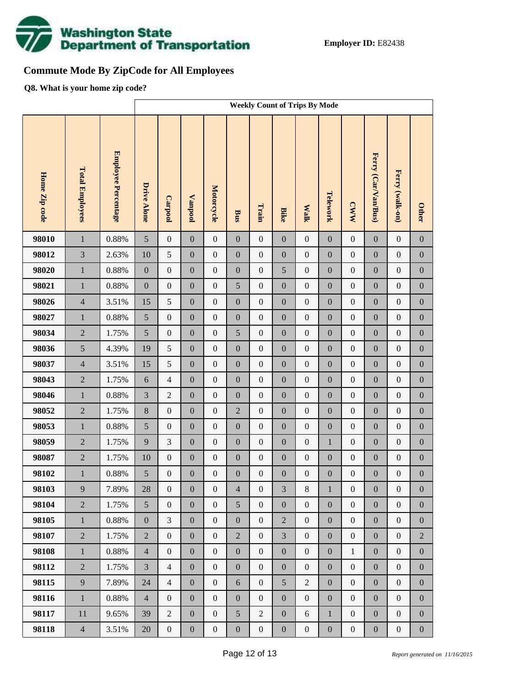

## **Commute Mode By ZipCode for All Employees**

**Q8. What is your home zip code?**

|               |                        |                     | <b>Weekly Count of Trips By Mode</b> |                  |                  |                   |                  |                  |                  |                  |                  |                  |                     |                  |                  |
|---------------|------------------------|---------------------|--------------------------------------|------------------|------------------|-------------------|------------------|------------------|------------------|------------------|------------------|------------------|---------------------|------------------|------------------|
| Home Zip code | <b>Total Employees</b> | Employee Percentage | Drive Alone                          | <b>Carpool</b>   | Vanpool          | <b>Motorcycle</b> | Bus              | Train            | <b>Bike</b>      | <b>Walk</b>      | Telework         | <b>CWW</b>       | Ferry (Car/Van/Bus) | Ferry (walk-on)  | <b>Other</b>     |
| 98010         | $\mathbf{1}$           | 0.88%               | $\mathfrak{S}$                       | $\boldsymbol{0}$ | $\boldsymbol{0}$ | $\boldsymbol{0}$  | $\boldsymbol{0}$ | $\overline{0}$   | $\overline{0}$   | $\boldsymbol{0}$ | $\boldsymbol{0}$ | $\boldsymbol{0}$ | $\boldsymbol{0}$    | $\boldsymbol{0}$ | $\boldsymbol{0}$ |
| 98012         | $\overline{3}$         | 2.63%               | 10                                   | $\mathfrak s$    | $\boldsymbol{0}$ | $\boldsymbol{0}$  | $\boldsymbol{0}$ | $\mathbf{0}$     | $\overline{0}$   | $\boldsymbol{0}$ | $\boldsymbol{0}$ | $\boldsymbol{0}$ | $\boldsymbol{0}$    | $\boldsymbol{0}$ | $\boldsymbol{0}$ |
| 98020         | $\mathbf 1$            | 0.88%               | $\boldsymbol{0}$                     | $\boldsymbol{0}$ | $\boldsymbol{0}$ | $\boldsymbol{0}$  | $\boldsymbol{0}$ | $\boldsymbol{0}$ | 5                | $\boldsymbol{0}$ | $\boldsymbol{0}$ | $\boldsymbol{0}$ | $\boldsymbol{0}$    | $\boldsymbol{0}$ | $\boldsymbol{0}$ |
| 98021         | $\mathbf{1}$           | 0.88%               | $\boldsymbol{0}$                     | $\boldsymbol{0}$ | $\boldsymbol{0}$ | $\boldsymbol{0}$  | 5                | $\mathbf{0}$     | $\overline{0}$   | $\boldsymbol{0}$ | $\boldsymbol{0}$ | $\boldsymbol{0}$ | $\boldsymbol{0}$    | $\boldsymbol{0}$ | $\boldsymbol{0}$ |
| 98026         | $\overline{4}$         | 3.51%               | 15                                   | $\sqrt{5}$       | $\boldsymbol{0}$ | $\boldsymbol{0}$  | $\boldsymbol{0}$ | $\boldsymbol{0}$ | $\boldsymbol{0}$ | $\boldsymbol{0}$ | $\boldsymbol{0}$ | $\boldsymbol{0}$ | $\boldsymbol{0}$    | $\boldsymbol{0}$ | $\boldsymbol{0}$ |
| 98027         | $\mathbf{1}$           | 0.88%               | $\sqrt{5}$                           | $\boldsymbol{0}$ | $\boldsymbol{0}$ | $\boldsymbol{0}$  | $\boldsymbol{0}$ | $\mathbf{0}$     | $\overline{0}$   | $\boldsymbol{0}$ | $\boldsymbol{0}$ | $\boldsymbol{0}$ | $\boldsymbol{0}$    | $\boldsymbol{0}$ | $\boldsymbol{0}$ |
| 98034         | $\overline{2}$         | 1.75%               | $\sqrt{5}$                           | $\boldsymbol{0}$ | $\boldsymbol{0}$ | $\boldsymbol{0}$  | 5                | $\boldsymbol{0}$ | $\boldsymbol{0}$ | $\boldsymbol{0}$ | $\boldsymbol{0}$ | $\boldsymbol{0}$ | $\boldsymbol{0}$    | $\boldsymbol{0}$ | $\boldsymbol{0}$ |
| 98036         | 5                      | 4.39%               | 19                                   | $\sqrt{5}$       | $\boldsymbol{0}$ | $\boldsymbol{0}$  | $\boldsymbol{0}$ | $\mathbf{0}$     | $\overline{0}$   | $\boldsymbol{0}$ | $\boldsymbol{0}$ | $\boldsymbol{0}$ | $\boldsymbol{0}$    | $\boldsymbol{0}$ | $\boldsymbol{0}$ |
| 98037         | $\overline{4}$         | 3.51%               | 15                                   | $\mathfrak s$    | $\boldsymbol{0}$ | $\boldsymbol{0}$  | $\boldsymbol{0}$ | $\boldsymbol{0}$ | $\boldsymbol{0}$ | $\boldsymbol{0}$ | $\boldsymbol{0}$ | $\boldsymbol{0}$ | $\boldsymbol{0}$    | $\boldsymbol{0}$ | $\boldsymbol{0}$ |
| 98043         | $\overline{2}$         | 1.75%               | $\sqrt{6}$                           | $\overline{4}$   | $\boldsymbol{0}$ | $\boldsymbol{0}$  | $\boldsymbol{0}$ | $\mathbf{0}$     | $\overline{0}$   | $\boldsymbol{0}$ | $\boldsymbol{0}$ | $\boldsymbol{0}$ | $\boldsymbol{0}$    | $\boldsymbol{0}$ | $\boldsymbol{0}$ |
| 98046         | $\mathbf{1}$           | 0.88%               | $\mathfrak{Z}$                       | $\sqrt{2}$       | $\boldsymbol{0}$ | $\boldsymbol{0}$  | $\boldsymbol{0}$ | $\boldsymbol{0}$ | $\boldsymbol{0}$ | $\boldsymbol{0}$ | $\boldsymbol{0}$ | $\boldsymbol{0}$ | $\boldsymbol{0}$    | $\boldsymbol{0}$ | $\boldsymbol{0}$ |
| 98052         | $\overline{2}$         | 1.75%               | $\,8\,$                              | $\boldsymbol{0}$ | $\boldsymbol{0}$ | $\boldsymbol{0}$  | $\overline{2}$   | $\boldsymbol{0}$ | $\overline{0}$   | $\boldsymbol{0}$ | $\boldsymbol{0}$ | $\boldsymbol{0}$ | $\boldsymbol{0}$    | $\boldsymbol{0}$ | $\boldsymbol{0}$ |
| 98053         | $\mathbf{1}$           | 0.88%               | $\sqrt{5}$                           | $\boldsymbol{0}$ | $\boldsymbol{0}$ | $\boldsymbol{0}$  | $\boldsymbol{0}$ | $\boldsymbol{0}$ | $\boldsymbol{0}$ | $\boldsymbol{0}$ | $\boldsymbol{0}$ | $\boldsymbol{0}$ | $\boldsymbol{0}$    | $\boldsymbol{0}$ | $\boldsymbol{0}$ |
| 98059         | $\overline{2}$         | 1.75%               | 9                                    | 3                | $\boldsymbol{0}$ | $\boldsymbol{0}$  | $\boldsymbol{0}$ | $\boldsymbol{0}$ | $\overline{0}$   | $\boldsymbol{0}$ | $\mathbf{1}$     | $\boldsymbol{0}$ | $\boldsymbol{0}$    | $\boldsymbol{0}$ | $\boldsymbol{0}$ |
| 98087         | $\overline{2}$         | 1.75%               | 10                                   | $\boldsymbol{0}$ | $\boldsymbol{0}$ | $\boldsymbol{0}$  | $\boldsymbol{0}$ | $\boldsymbol{0}$ | $\boldsymbol{0}$ | $\boldsymbol{0}$ | $\boldsymbol{0}$ | $\boldsymbol{0}$ | $\boldsymbol{0}$    | $\boldsymbol{0}$ | $\boldsymbol{0}$ |
| 98102         | $\mathbf{1}$           | $0.88\%$            | $\sqrt{5}$                           | $\boldsymbol{0}$ | $\boldsymbol{0}$ | $\boldsymbol{0}$  | $\boldsymbol{0}$ | $\boldsymbol{0}$ | $\boldsymbol{0}$ | $\boldsymbol{0}$ | $\boldsymbol{0}$ | $\boldsymbol{0}$ | $\boldsymbol{0}$    | $\boldsymbol{0}$ | $\boldsymbol{0}$ |
| 98103         | $\mathbf{9}$           | 7.89%               | 28                                   | $\overline{0}$   | $\boldsymbol{0}$ | $\boldsymbol{0}$  | $\overline{4}$   | $\boldsymbol{0}$ | 3                | $8\,$            | $\mathbf{1}$     | $\boldsymbol{0}$ | $\boldsymbol{0}$    | $\boldsymbol{0}$ | $\boldsymbol{0}$ |
| 98104         | $\overline{2}$         | 1.75%               | 5                                    | $\overline{0}$   | $\boldsymbol{0}$ | $\boldsymbol{0}$  | 5                | $\mathbf{0}$     | $\boldsymbol{0}$ | $\overline{0}$   | $\boldsymbol{0}$ | $\boldsymbol{0}$ | $\boldsymbol{0}$    | $\boldsymbol{0}$ | $\boldsymbol{0}$ |
| 98105         | $\mathbf{1}$           | 0.88%               | $\boldsymbol{0}$                     | 3                | $\boldsymbol{0}$ | $\boldsymbol{0}$  | $\boldsymbol{0}$ | $\boldsymbol{0}$ | $\overline{2}$   | $\boldsymbol{0}$ | $\boldsymbol{0}$ | $\boldsymbol{0}$ | $\boldsymbol{0}$    | $\boldsymbol{0}$ | $\boldsymbol{0}$ |
| 98107         | $\overline{2}$         | 1.75%               | $\sqrt{2}$                           | $\boldsymbol{0}$ | $\boldsymbol{0}$ | $\boldsymbol{0}$  | $\overline{2}$   | $\boldsymbol{0}$ | $\overline{3}$   | $\boldsymbol{0}$ | $\boldsymbol{0}$ | $\boldsymbol{0}$ | $\boldsymbol{0}$    | $\boldsymbol{0}$ | $\overline{2}$   |
| 98108         | $\mathbf{1}$           | 0.88%               | $\overline{4}$                       | $\boldsymbol{0}$ | $\boldsymbol{0}$ | $\boldsymbol{0}$  | $\boldsymbol{0}$ | $\mathbf{0}$     | $\overline{0}$   | $\boldsymbol{0}$ | $\boldsymbol{0}$ | $\mathbf{1}$     | $\boldsymbol{0}$    | $\boldsymbol{0}$ | $\boldsymbol{0}$ |
| 98112         | $\overline{2}$         | 1.75%               | $\mathfrak{Z}$                       | $\overline{4}$   | $\boldsymbol{0}$ | $\boldsymbol{0}$  | $\boldsymbol{0}$ | $\boldsymbol{0}$ | $\boldsymbol{0}$ | $\boldsymbol{0}$ | $\boldsymbol{0}$ | $\boldsymbol{0}$ | $\boldsymbol{0}$    | $\boldsymbol{0}$ | $\boldsymbol{0}$ |
| 98115         | 9                      | 7.89%               | 24                                   | $\overline{4}$   | $\boldsymbol{0}$ | $\boldsymbol{0}$  | 6                | $\mathbf{0}$     | $5\overline{)}$  | $\overline{2}$   | $\boldsymbol{0}$ | $\boldsymbol{0}$ | $\boldsymbol{0}$    | $\boldsymbol{0}$ | $\boldsymbol{0}$ |
| 98116         | $\mathbf{1}$           | 0.88%               | $\overline{4}$                       | $\boldsymbol{0}$ | $\boldsymbol{0}$ | $\boldsymbol{0}$  | $\boldsymbol{0}$ | $\boldsymbol{0}$ | $\boldsymbol{0}$ | $\boldsymbol{0}$ | $\boldsymbol{0}$ | $\boldsymbol{0}$ | $\boldsymbol{0}$    | $\boldsymbol{0}$ | $\boldsymbol{0}$ |
| 98117         | 11                     | 9.65%               | 39                                   | $\overline{2}$   | $\boldsymbol{0}$ | $\boldsymbol{0}$  | 5                | $\overline{2}$   | $\overline{0}$   | 6                | $\mathbf{1}$     | $\boldsymbol{0}$ | $\boldsymbol{0}$    | $\boldsymbol{0}$ | $\boldsymbol{0}$ |
| 98118         | $\overline{4}$         | 3.51%               | 20                                   | $\boldsymbol{0}$ | $\boldsymbol{0}$ | $\boldsymbol{0}$  | $\boldsymbol{0}$ | $\boldsymbol{0}$ | $\boldsymbol{0}$ | $\boldsymbol{0}$ | $\boldsymbol{0}$ | $\boldsymbol{0}$ | $\boldsymbol{0}$    | $\boldsymbol{0}$ | $\boldsymbol{0}$ |